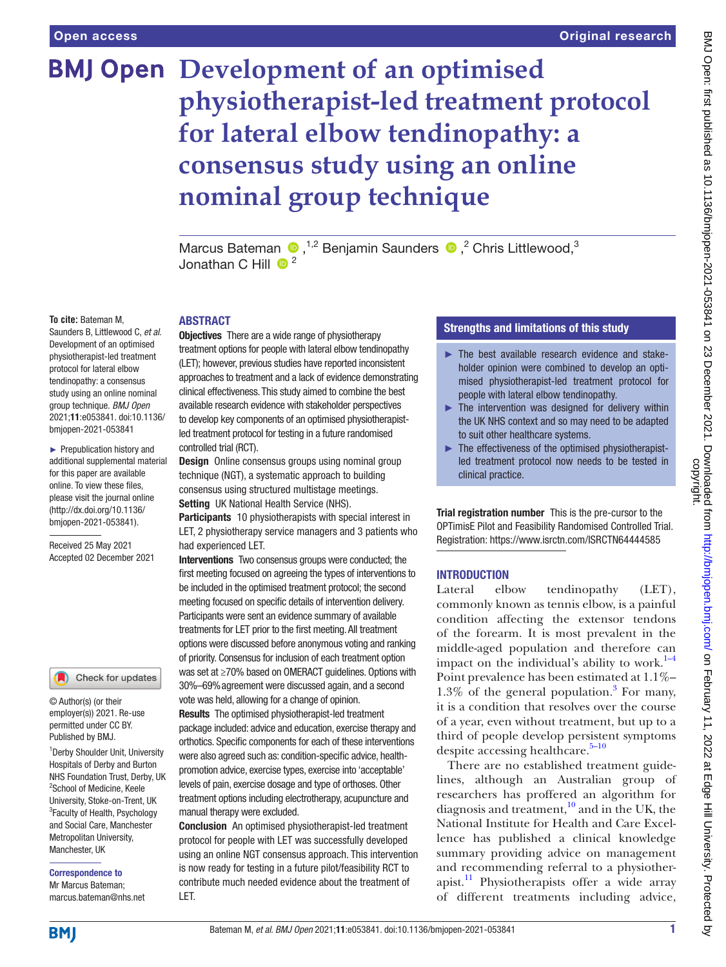# **BMJ Open Development of an optimised physiotherapist-led treatment protocol for lateral elbow tendinopathy: a consensus study using an online nominal group technique**

MarcusBateman  $\bullet$ , <sup>1,2</sup> Benjamin Saunders  $\bullet$ , <sup>2</sup> Chris Littlewood, <sup>3</sup> Jonathan C Hill  $\bigoplus^2$ 

#### **To cite:** Bateman M,

Saunders B, Littlewood C, *et al*. Development of an optimised physiotherapist-led treatment protocol for lateral elbow tendinopathy: a consensus study using an online nominal group technique. *BMJ Open* 2021;11:e053841. doi:10.1136/ bmjopen-2021-053841

► Prepublication history and additional supplemental material for this paper are available online. To view these files, please visit the journal online [\(http://dx.doi.org/10.1136/](http://dx.doi.org/10.1136/bmjopen-2021-053841) [bmjopen-2021-053841](http://dx.doi.org/10.1136/bmjopen-2021-053841)).

Received 25 May 2021 Accepted 02 December 2021

#### Check for updates

© Author(s) (or their employer(s)) 2021. Re-use permitted under CC BY. Published by BMJ.

<sup>1</sup> Derby Shoulder Unit, University Hospitals of Derby and Burton NHS Foundation Trust, Derby, UK 2 School of Medicine, Keele University, Stoke-on-Trent, UK <sup>3</sup> Faculty of Health, Psychology and Social Care, Manchester Metropolitan University, Manchester, UK

Correspondence to Mr Marcus Bateman; marcus.bateman@nhs.net

# ABSTRACT

**Objectives** There are a wide range of physiotherapy treatment options for people with lateral elbow tendinopathy (LET); however, previous studies have reported inconsistent approaches to treatment and a lack of evidence demonstrating clinical effectiveness. This study aimed to combine the best available research evidence with stakeholder perspectives to develop key components of an optimised physiotherapistled treatment protocol for testing in a future randomised controlled trial (RCT).

**Design** Online consensus groups using nominal group technique (NGT), a systematic approach to building consensus using structured multistage meetings. Setting UK National Health Service (NHS).

Participants 10 physiotherapists with special interest in LET, 2 physiotherapy service managers and 3 patients who had experienced LET.

Interventions Two consensus groups were conducted; the first meeting focused on agreeing the types of interventions to be included in the optimised treatment protocol; the second meeting focused on specific details of intervention delivery. Participants were sent an evidence summary of available treatments for LET prior to the first meeting. All treatment options were discussed before anonymous voting and ranking of priority. Consensus for inclusion of each treatment option was set at ≥70% based on OMERACT guidelines. Options with 30%–69%agreement were discussed again, and a second vote was held, allowing for a change of opinion. Results The optimised physiotherapist-led treatment package included: advice and education, exercise therapy and

orthotics. Specific components for each of these interventions were also agreed such as: condition-specific advice, healthpromotion advice, exercise types, exercise into 'acceptable' levels of pain, exercise dosage and type of orthoses. Other treatment options including electrotherapy, acupuncture and manual therapy were excluded.

Conclusion An optimised physiotherapist-led treatment protocol for people with LET was successfully developed using an online NGT consensus approach. This intervention is now ready for testing in a future pilot/feasibility RCT to contribute much needed evidence about the treatment of LET.

## Strengths and limitations of this study

- ► The best available research evidence and stakeholder opinion were combined to develop an optimised physiotherapist-led treatment protocol for people with lateral elbow tendinopathy.
- $\blacktriangleright$  The intervention was designed for delivery within the UK NHS context and so may need to be adapted to suit other healthcare systems.
- $\blacktriangleright$  The effectiveness of the optimised physiotherapistled treatment protocol now needs to be tested in clinical practice.

Trial registration number This is the pre-cursor to the OPTimisE Pilot and Feasibility Randomised Controlled Trial. Registration:<https://www.isrctn.com/ISRCTN64444585>

## **INTRODUCTION**

Lateral elbow tendinopathy (LET), commonly known as tennis elbow, is a painful condition affecting the extensor tendons of the forearm. It is most prevalent in the middle-aged population and therefore can impact on the individual's ability to work. $1-4$ Point prevalence has been estimated at 1.1%–  $1.3\%$  $1.3\%$  $1.3\%$  of the general population.<sup>3</sup> For many, it is a condition that resolves over the course of a year, even without treatment, but up to a third of people develop persistent symptoms despite accessing healthcare. $5-10$ 

There are no established treatment guidelines, although an Australian group of researchers has proffered an algorithm for diagnosis and treatment,<sup>[10](#page-6-3)</sup> and in the UK, the National Institute for Health and Care Excellence has published a clinical knowledge summary providing advice on management and recommending referral to a physiotherapist.<sup>11</sup> Physiotherapists offer a wide array of different treatments including advice,

**BMI**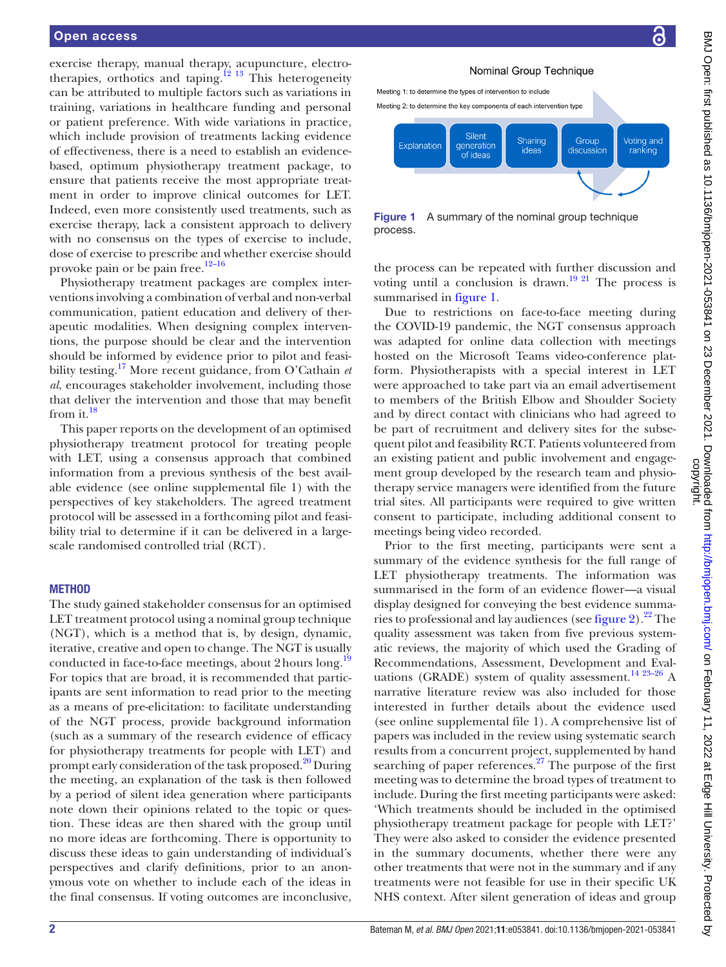exercise therapy, manual therapy, acupuncture, electrotherapies, orthotics and taping.<sup>12</sup> <sup>13</sup> This heterogeneity can be attributed to multiple factors such as variations in training, variations in healthcare funding and personal or patient preference. With wide variations in practice, which include provision of treatments lacking evidence of effectiveness, there is a need to establish an evidencebased, optimum physiotherapy treatment package, to ensure that patients receive the most appropriate treatment in order to improve clinical outcomes for LET. Indeed, even more consistently used treatments, such as exercise therapy, lack a consistent approach to delivery with no consensus on the types of exercise to include, dose of exercise to prescribe and whether exercise should provoke pain or be pain free.<sup>[12–16](#page-6-5)</sup>

Physiotherapy treatment packages are complex interventions involving a combination of verbal and non-verbal communication, patient education and delivery of therapeutic modalities. When designing complex interventions, the purpose should be clear and the intervention should be informed by evidence prior to pilot and feasibility testing[.17](#page-6-6) More recent guidance, from O'Cathain *et al*, encourages stakeholder involvement, including those that deliver the intervention and those that may benefit from it. $^{18}$ 

This paper reports on the development of an optimised physiotherapy treatment protocol for treating people with LET, using a consensus approach that combined information from a previous synthesis of the best available evidence (see [online supplemental file 1\)](https://dx.doi.org/10.1136/bmjopen-2021-053841) with the perspectives of key stakeholders. The agreed treatment protocol will be assessed in a forthcoming pilot and feasibility trial to determine if it can be delivered in a largescale randomised controlled trial (RCT).

#### **METHOD**

The study gained stakeholder consensus for an optimised LET treatment protocol using a nominal group technique (NGT), which is a method that is, by design, dynamic, iterative, creative and open to change. The NGT is usually conducted in face-to-face meetings, about 2 hours long.<sup>[19](#page-6-8)</sup> For topics that are broad, it is recommended that participants are sent information to read prior to the meeting as a means of pre-elicitation: to facilitate understanding of the NGT process, provide background information (such as a summary of the research evidence of efficacy for physiotherapy treatments for people with LET) and prompt early consideration of the task proposed.<sup>20</sup> During the meeting, an explanation of the task is then followed by a period of silent idea generation where participants note down their opinions related to the topic or question. These ideas are then shared with the group until no more ideas are forthcoming. There is opportunity to discuss these ideas to gain understanding of individual's perspectives and clarify definitions, prior to an anonymous vote on whether to include each of the ideas in the final consensus. If voting outcomes are inconclusive,



<span id="page-1-0"></span>Figure 1 A summary of the nominal group technique process.

the process can be repeated with further discussion and voting until a conclusion is drawn.<sup>19 21</sup> The process is summarised in [figure](#page-1-0) 1.

Due to restrictions on face-to-face meeting during the COVID-19 pandemic, the NGT consensus approach was adapted for online data collection with meetings hosted on the Microsoft Teams video-conference platform. Physiotherapists with a special interest in LET were approached to take part via an email advertisement to members of the British Elbow and Shoulder Society and by direct contact with clinicians who had agreed to be part of recruitment and delivery sites for the subsequent pilot and feasibility RCT. Patients volunteered from an existing patient and public involvement and engagement group developed by the research team and physiotherapy service managers were identified from the future trial sites. All participants were required to give written consent to participate, including additional consent to meetings being video recorded.

Prior to the first meeting, participants were sent a summary of the evidence synthesis for the full range of LET physiotherapy treatments. The information was summarised in the form of an evidence flower—a visual display designed for conveying the best evidence summaries to professional and lay audiences (see [figure](#page-2-0) 2).  $2^2$  The quality assessment was taken from five previous systematic reviews, the majority of which used the Grading of Recommendations, Assessment, Development and Evaluations (GRADE) system of quality assessment.<sup>14 23-26</sup> A narrative literature review was also included for those interested in further details about the evidence used (see [online supplemental file 1\)](https://dx.doi.org/10.1136/bmjopen-2021-053841). A comprehensive list of papers was included in the review using systematic search results from a concurrent project, supplemented by hand searching of paper references.<sup>27</sup> The purpose of the first meeting was to determine the broad types of treatment to include. During the first meeting participants were asked: 'Which treatments should be included in the optimised physiotherapy treatment package for people with LET?' They were also asked to consider the evidence presented in the summary documents, whether there were any other treatments that were not in the summary and if any treatments were not feasible for use in their specific UK NHS context. After silent generation of ideas and group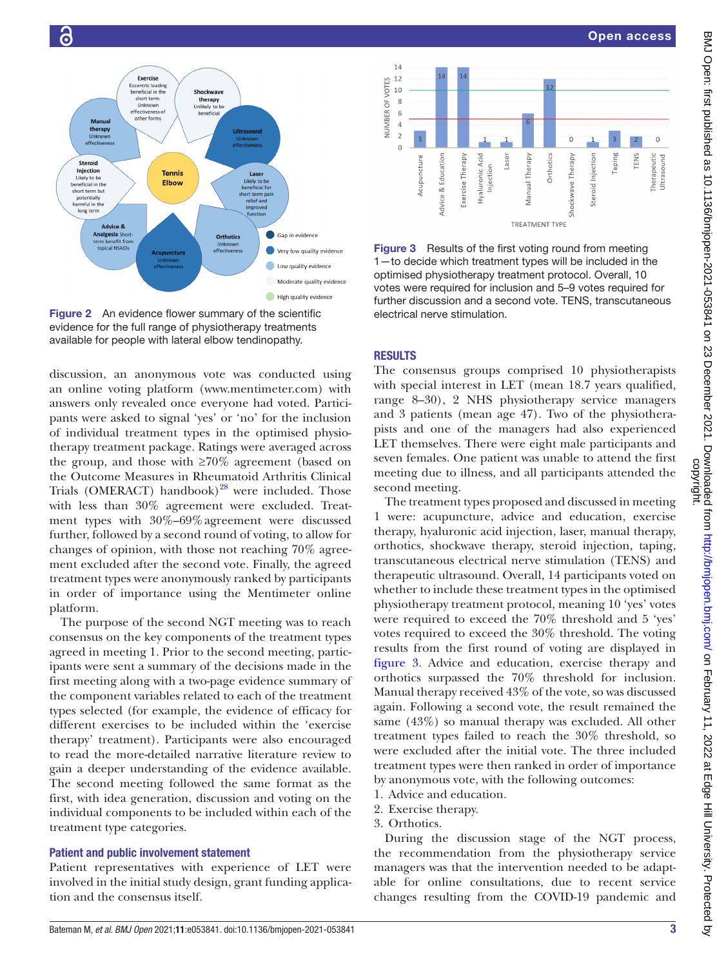

<span id="page-2-0"></span>Figure 2 An evidence flower summary of the scientific evidence for the full range of physiotherapy treatments available for people with lateral elbow tendinopathy.

discussion, an anonymous vote was conducted using an online voting platform ([www.mentimeter.com\)](www.mentimeter.com) with answers only revealed once everyone had voted. Participants were asked to signal 'yes' or 'no' for the inclusion of individual treatment types in the optimised physiotherapy treatment package. Ratings were averaged across the group, and those with  $\geq 70\%$  agreement (based on the Outcome Measures in Rheumatoid Arthritis Clinical Trials (OMERACT) handbook)<sup>28</sup> were included. Those with less than 30% agreement were excluded. Treatment types with 30%–69%agreement were discussed further, followed by a second round of voting, to allow for changes of opinion, with those not reaching 70% agreement excluded after the second vote. Finally, the agreed treatment types were anonymously ranked by participants in order of importance using the Mentimeter online platform.

The purpose of the second NGT meeting was to reach consensus on the key components of the treatment types agreed in meeting 1. Prior to the second meeting, participants were sent a summary of the decisions made in the first meeting along with a two-page evidence summary of the component variables related to each of the treatment types selected (for example, the evidence of efficacy for different exercises to be included within the 'exercise therapy' treatment). Participants were also encouraged to read the more-detailed narrative literature review to gain a deeper understanding of the evidence available. The second meeting followed the same format as the first, with idea generation, discussion and voting on the individual components to be included within each of the treatment type categories.

#### Patient and public involvement statement

Patient representatives with experience of LET were involved in the initial study design, grant funding application and the consensus itself.





<span id="page-2-1"></span>Figure 3 Results of the first voting round from meeting 1—to decide which treatment types will be included in the optimised physiotherapy treatment protocol. Overall, 10 votes were required for inclusion and 5–9 votes required for further discussion and a second vote. TENS, transcutaneous electrical nerve stimulation.

## **RESULTS**

The consensus groups comprised 10 physiotherapists with special interest in LET (mean 18.7 years qualified, range 8–30), 2 NHS physiotherapy service managers and 3 patients (mean age 47). Two of the physiotherapists and one of the managers had also experienced LET themselves. There were eight male participants and seven females. One patient was unable to attend the first meeting due to illness, and all participants attended the second meeting.

The treatment types proposed and discussed in meeting 1 were: acupuncture, advice and education, exercise therapy, hyaluronic acid injection, laser, manual therapy, orthotics, shockwave therapy, steroid injection, taping, transcutaneous electrical nerve stimulation (TENS) and therapeutic ultrasound. Overall, 14 participants voted on whether to include these treatment types in the optimised physiotherapy treatment protocol, meaning 10 'yes' votes were required to exceed the 70% threshold and 5 'yes' votes required to exceed the 30% threshold. The voting results from the first round of voting are displayed in [figure](#page-2-1) 3. Advice and education, exercise therapy and orthotics surpassed the 70% threshold for inclusion. Manual therapy received 43% of the vote, so was discussed again. Following a second vote, the result remained the same (43%) so manual therapy was excluded. All other treatment types failed to reach the 30% threshold, so were excluded after the initial vote. The three included treatment types were then ranked in order of importance by anonymous vote, with the following outcomes:

- 1. Advice and education.
- 2. Exercise therapy.
- 3. Orthotics.

During the discussion stage of the NGT process, the recommendation from the physiotherapy service managers was that the intervention needed to be adaptable for online consultations, due to recent service changes resulting from the COVID-19 pandemic and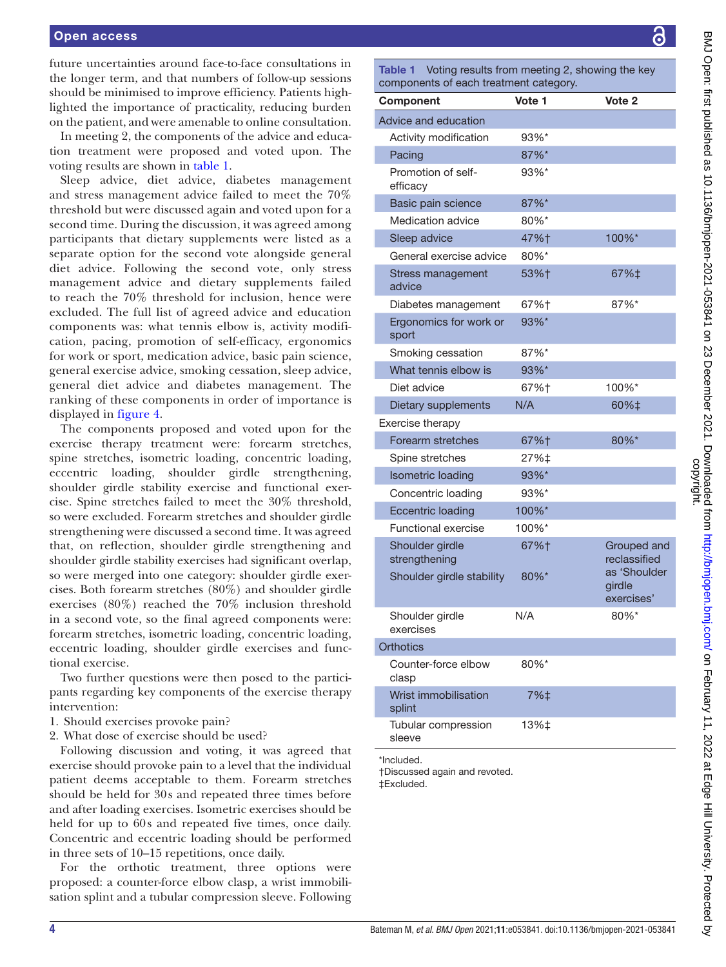future uncertainties around face-to-face consultations in the longer term, and that numbers of follow-up sessions should be minimised to improve efficiency. Patients highlighted the importance of practicality, reducing burden on the patient, and were amenable to online consultation.

In meeting 2, the components of the advice and education treatment were proposed and voted upon. The voting results are shown in [table](#page-3-0) 1.

Sleep advice, diet advice, diabetes management and stress management advice failed to meet the 70% threshold but were discussed again and voted upon for a second time. During the discussion, it was agreed among participants that dietary supplements were listed as a separate option for the second vote alongside general diet advice. Following the second vote, only stress management advice and dietary supplements failed to reach the 70% threshold for inclusion, hence were excluded. The full list of agreed advice and education components was: what tennis elbow is, activity modification, pacing, promotion of self-efficacy, ergonomics for work or sport, medication advice, basic pain science, general exercise advice, smoking cessation, sleep advice, general diet advice and diabetes management. The ranking of these components in order of importance is displayed in [figure](#page-4-0) 4.

The components proposed and voted upon for the exercise therapy treatment were: forearm stretches, spine stretches, isometric loading, concentric loading, eccentric loading, shoulder girdle strengthening, shoulder girdle stability exercise and functional exercise. Spine stretches failed to meet the 30% threshold, so were excluded. Forearm stretches and shoulder girdle strengthening were discussed a second time. It was agreed that, on reflection, shoulder girdle strengthening and shoulder girdle stability exercises had significant overlap, so were merged into one category: shoulder girdle exercises. Both forearm stretches (80%) and shoulder girdle exercises (80%) reached the 70% inclusion threshold in a second vote, so the final agreed components were: forearm stretches, isometric loading, concentric loading, eccentric loading, shoulder girdle exercises and functional exercise.

Two further questions were then posed to the participants regarding key components of the exercise therapy intervention:

- 1. Should exercises provoke pain?
- 2. What dose of exercise should be used?

Following discussion and voting, it was agreed that exercise should provoke pain to a level that the individual patient deems acceptable to them. Forearm stretches should be held for 30s and repeated three times before and after loading exercises. Isometric exercises should be held for up to 60s and repeated five times, once daily. Concentric and eccentric loading should be performed in three sets of 10–15 repetitions, once daily.

For the orthotic treatment, three options were proposed: a counter-force elbow clasp, a wrist immobilisation splint and a tubular compression sleeve. Following

<span id="page-3-0"></span>Table 1 Voting results from meeting 2, showing the key components of each treatment category.

Ī

l

| Component                                   | Vote 1              | Vote 2                               |
|---------------------------------------------|---------------------|--------------------------------------|
| Advice and education                        |                     |                                      |
| Activity modification                       | 93%*                |                                      |
| Pacing                                      | 87%*                |                                      |
| Promotion of self-<br>efficacy              | 93%*                |                                      |
| Basic pain science                          | 87%*                |                                      |
| Medication advice                           | 80%*                |                                      |
| Sleep advice                                | 47%†                | 100%*                                |
| General exercise advice                     | 80%*                |                                      |
| <b>Stress management</b><br>advice          | 53%†                | 67%‡                                 |
| Diabetes management                         | 67%†                | 87%*                                 |
| Ergonomics for work or<br>sport             | 93%*                |                                      |
| Smoking cessation                           | 87%*                |                                      |
| What tennis elbow is                        | 93%*                |                                      |
| Diet advice                                 | 67%†                | 100%*                                |
| Dietary supplements                         | N/A                 | 60%‡                                 |
| Exercise therapy                            |                     |                                      |
| Forearm stretches                           | 67%†                | 80%*                                 |
| Spine stretches                             | 27%‡                |                                      |
| <b>Isometric loading</b>                    | 93%*                |                                      |
| Concentric loading                          | 93%*                |                                      |
| <b>Eccentric loading</b>                    | 100%*               |                                      |
| <b>Functional exercise</b>                  | 100%*               |                                      |
| Shoulder girdle<br>strengthening            | 67%†                | Grouped and<br>reclassified          |
| Shoulder girdle stability                   | $80\%$ <sup>*</sup> | as 'Shoulder<br>girdle<br>exercises' |
| Shoulder girdle<br>exercises                | N/A                 | $80\%$ *                             |
| <b>Orthotics</b>                            |                     |                                      |
| Counter-force elbow<br>clasp                | 80%*                |                                      |
| Wrist immobilisation<br>splint              | 7%‡                 |                                      |
| Tubular compression<br>sleeve               | 13%‡                |                                      |
| *Included.<br>†Discussed again and revoted. |                     |                                      |

‡Excluded.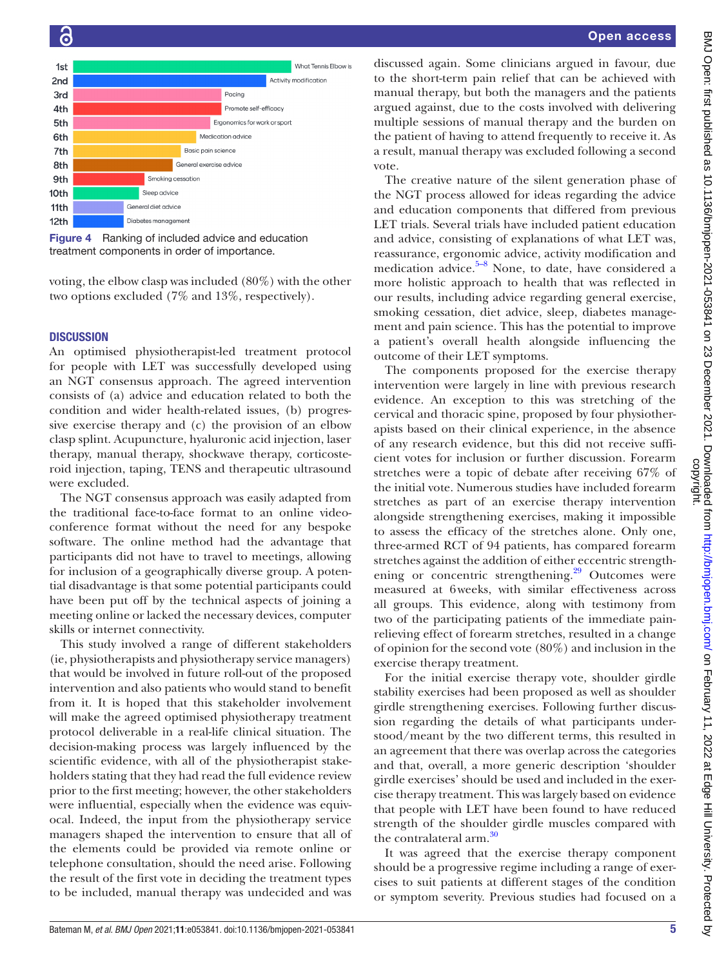

<span id="page-4-0"></span>Figure 4 Ranking of included advice and education treatment components in order of importance.

voting, the elbow clasp was included (80%) with the other two options excluded (7% and 13%, respectively).

#### **DISCUSSION**

 $\epsilon$ 

An optimised physiotherapist-led treatment protocol for people with LET was successfully developed using an NGT consensus approach. The agreed intervention consists of (a) advice and education related to both the condition and wider health-related issues, (b) progressive exercise therapy and (c) the provision of an elbow clasp splint. Acupuncture, hyaluronic acid injection, laser therapy, manual therapy, shockwave therapy, corticosteroid injection, taping, TENS and therapeutic ultrasound were excluded.

The NGT consensus approach was easily adapted from the traditional face-to-face format to an online videoconference format without the need for any bespoke software. The online method had the advantage that participants did not have to travel to meetings, allowing for inclusion of a geographically diverse group. A potential disadvantage is that some potential participants could have been put off by the technical aspects of joining a meeting online or lacked the necessary devices, computer skills or internet connectivity.

This study involved a range of different stakeholders (ie, physiotherapists and physiotherapy service managers) that would be involved in future roll-out of the proposed intervention and also patients who would stand to benefit from it. It is hoped that this stakeholder involvement will make the agreed optimised physiotherapy treatment protocol deliverable in a real-life clinical situation. The decision-making process was largely influenced by the scientific evidence, with all of the physiotherapist stakeholders stating that they had read the full evidence review prior to the first meeting; however, the other stakeholders were influential, especially when the evidence was equivocal. Indeed, the input from the physiotherapy service managers shaped the intervention to ensure that all of the elements could be provided via remote online or telephone consultation, should the need arise. Following the result of the first vote in deciding the treatment types to be included, manual therapy was undecided and was

discussed again. Some clinicians argued in favour, due to the short-term pain relief that can be achieved with manual therapy, but both the managers and the patients argued against, due to the costs involved with delivering multiple sessions of manual therapy and the burden on the patient of having to attend frequently to receive it. As a result, manual therapy was excluded following a second vote.

The creative nature of the silent generation phase of the NGT process allowed for ideas regarding the advice and education components that differed from previous LET trials. Several trials have included patient education and advice, consisting of explanations of what LET was, reassurance, ergonomic advice, activity modification and medication advice. $5-8$  None, to date, have considered a more holistic approach to health that was reflected in our results, including advice regarding general exercise, smoking cessation, diet advice, sleep, diabetes management and pain science. This has the potential to improve a patient's overall health alongside influencing the outcome of their LET symptoms.

The components proposed for the exercise therapy intervention were largely in line with previous research evidence. An exception to this was stretching of the cervical and thoracic spine, proposed by four physiotherapists based on their clinical experience, in the absence of any research evidence, but this did not receive sufficient votes for inclusion or further discussion. Forearm stretches were a topic of debate after receiving 67% of the initial vote. Numerous studies have included forearm stretches as part of an exercise therapy intervention alongside strengthening exercises, making it impossible to assess the efficacy of the stretches alone. Only one, three-armed RCT of 94 patients, has compared forearm stretches against the addition of either eccentric strengthening or concentric strengthening.<sup>29</sup> Outcomes were measured at 6weeks, with similar effectiveness across all groups. This evidence, along with testimony from two of the participating patients of the immediate painrelieving effect of forearm stretches, resulted in a change of opinion for the second vote (80%) and inclusion in the exercise therapy treatment.

For the initial exercise therapy vote, shoulder girdle stability exercises had been proposed as well as shoulder girdle strengthening exercises. Following further discussion regarding the details of what participants understood/meant by the two different terms, this resulted in an agreement that there was overlap across the categories and that, overall, a more generic description 'shoulder girdle exercises' should be used and included in the exercise therapy treatment. This was largely based on evidence that people with LET have been found to have reduced strength of the shoulder girdle muscles compared with the contralateral arm.<sup>[30](#page-6-15)</sup>

It was agreed that the exercise therapy component should be a progressive regime including a range of exercises to suit patients at different stages of the condition or symptom severity. Previous studies had focused on a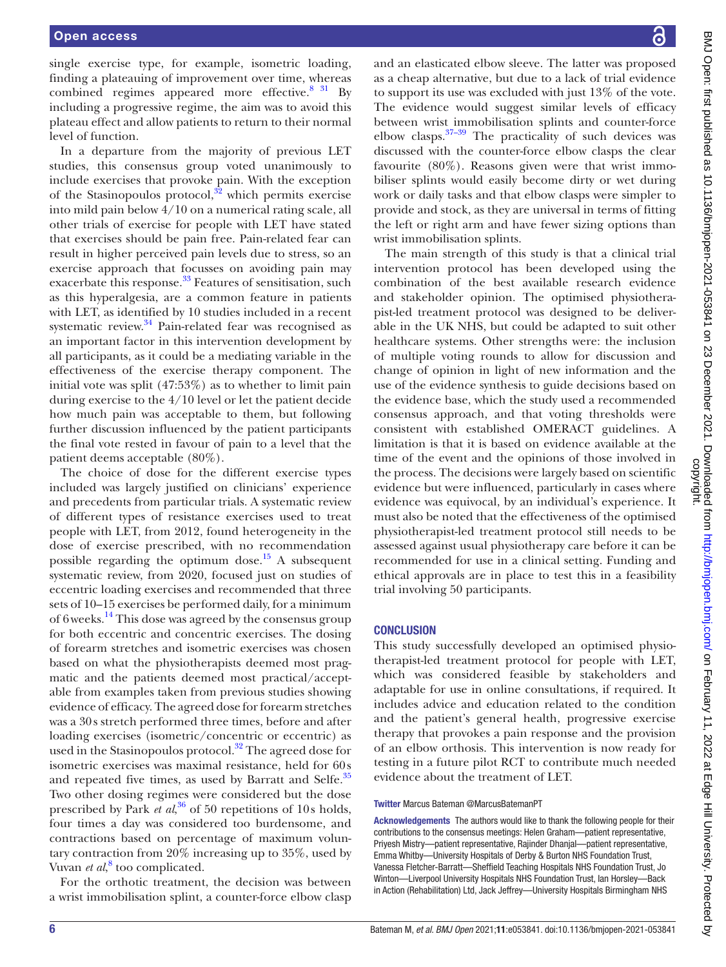single exercise type, for example, isometric loading, finding a plateauing of improvement over time, whereas combined regimes appeared more effective. $831$  By including a progressive regime, the aim was to avoid this plateau effect and allow patients to return to their normal level of function.

In a departure from the majority of previous LET studies, this consensus group voted unanimously to include exercises that provoke pain. With the exception of the Stasinopoulos protocol, $32$  which permits exercise into mild pain below 4/10 on a numerical rating scale, all other trials of exercise for people with LET have stated that exercises should be pain free. Pain-related fear can result in higher perceived pain levels due to stress, so an exercise approach that focusses on avoiding pain may exacerbate this response.<sup>33</sup> Features of sensitisation, such as this hyperalgesia, are a common feature in patients with LET, as identified by 10 studies included in a recent systematic review. $34$  Pain-related fear was recognised as an important factor in this intervention development by all participants, as it could be a mediating variable in the effectiveness of the exercise therapy component. The initial vote was split (47:53%) as to whether to limit pain during exercise to the 4/10 level or let the patient decide how much pain was acceptable to them, but following further discussion influenced by the patient participants the final vote rested in favour of pain to a level that the patient deems acceptable (80%).

The choice of dose for the different exercise types included was largely justified on clinicians' experience and precedents from particular trials. A systematic review of different types of resistance exercises used to treat people with LET, from 2012, found heterogeneity in the dose of exercise prescribed, with no recommendation possible regarding the optimum dose.<sup>[15](#page-6-17)</sup> A subsequent systematic review, from 2020, focused just on studies of eccentric loading exercises and recommended that three sets of 10–15 exercises be performed daily, for a minimum of 6weeks.[14](#page-6-11) This dose was agreed by the consensus group for both eccentric and concentric exercises. The dosing of forearm stretches and isometric exercises was chosen based on what the physiotherapists deemed most pragmatic and the patients deemed most practical/acceptable from examples taken from previous studies showing evidence of efficacy. The agreed dose for forearm stretches was a 30s stretch performed three times, before and after loading exercises (isometric/concentric or eccentric) as used in the Stasinopoulos protocol.<sup>[32](#page-7-0)</sup> The agreed dose for isometric exercises was maximal resistance, held for 60s and repeated five times, as used by Barratt and Selfe.<sup>35</sup> Two other dosing regimes were considered but the dose prescribed by Park *et al*, [36](#page-7-4) of 50 repetitions of 10s holds, four times a day was considered too burdensome, and contractions based on percentage of maximum voluntary contraction from 20% increasing up to 35%, used by Vuvan *et al*,<sup>[8](#page-6-16)</sup> too complicated.

For the orthotic treatment, the decision was between a wrist immobilisation splint, a counter-force elbow clasp

and an elasticated elbow sleeve. The latter was proposed as a cheap alternative, but due to a lack of trial evidence to support its use was excluded with just 13% of the vote. The evidence would suggest similar levels of efficacy between wrist immobilisation splints and counter-force elbow clasps[.37–39](#page-7-5) The practicality of such devices was discussed with the counter-force elbow clasps the clear favourite (80%). Reasons given were that wrist immobiliser splints would easily become dirty or wet during work or daily tasks and that elbow clasps were simpler to provide and stock, as they are universal in terms of fitting the left or right arm and have fewer sizing options than wrist immobilisation splints.

The main strength of this study is that a clinical trial intervention protocol has been developed using the combination of the best available research evidence and stakeholder opinion. The optimised physiotherapist-led treatment protocol was designed to be deliverable in the UK NHS, but could be adapted to suit other healthcare systems. Other strengths were: the inclusion of multiple voting rounds to allow for discussion and change of opinion in light of new information and the use of the evidence synthesis to guide decisions based on the evidence base, which the study used a recommended consensus approach, and that voting thresholds were consistent with established OMERACT guidelines. A limitation is that it is based on evidence available at the time of the event and the opinions of those involved in the process. The decisions were largely based on scientific evidence but were influenced, particularly in cases where evidence was equivocal, by an individual's experience. It must also be noted that the effectiveness of the optimised physiotherapist-led treatment protocol still needs to be assessed against usual physiotherapy care before it can be recommended for use in a clinical setting. Funding and ethical approvals are in place to test this in a feasibility trial involving 50 participants.

#### **CONCLUSION**

This study successfully developed an optimised physiotherapist-led treatment protocol for people with LET, which was considered feasible by stakeholders and adaptable for use in online consultations, if required. It includes advice and education related to the condition and the patient's general health, progressive exercise therapy that provokes a pain response and the provision of an elbow orthosis. This intervention is now ready for testing in a future pilot RCT to contribute much needed evidence about the treatment of LET.

#### Twitter Marcus Bateman [@MarcusBatemanPT](https://twitter.com/MarcusBatemanPT)

Acknowledgements The authors would like to thank the following people for their contributions to the consensus meetings: Helen Graham—patient representative, Priyesh Mistry—patient representative, Rajinder Dhanjal—patient representative, Emma Whitby—University Hospitals of Derby & Burton NHS Foundation Trust, Vanessa Fletcher-Barratt—Sheffield Teaching Hospitals NHS Foundation Trust, Jo Winton—Liverpool University Hospitals NHS Foundation Trust, Ian Horsley—Back in Action (Rehabilitation) Ltd, Jack Jeffrey—University Hospitals Birmingham NHS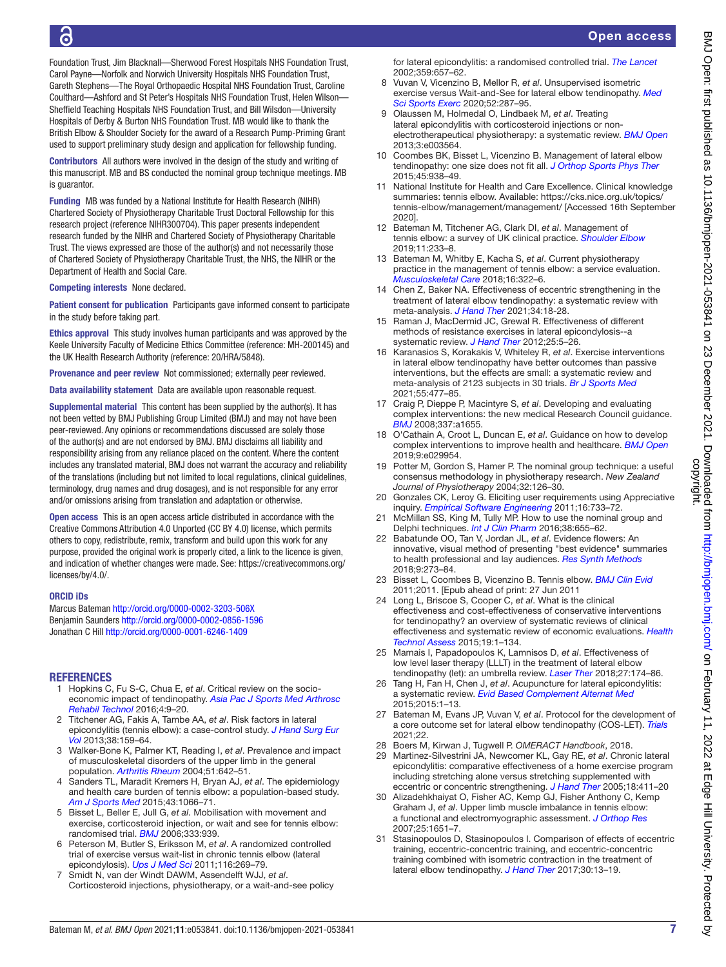Open access

Foundation Trust, Jim Blacknall—Sherwood Forest Hospitals NHS Foundation Trust, Carol Payne—Norfolk and Norwich University Hospitals NHS Foundation Trust, Gareth Stephens—The Royal Orthopaedic Hospital NHS Foundation Trust, Caroline Coulthard—Ashford and St Peter's Hospitals NHS Foundation Trust, Helen Wilson— Sheffield Teaching Hospitals NHS Foundation Trust, and Bill Wilsdon—University Hospitals of Derby & Burton NHS Foundation Trust. MB would like to thank the British Elbow & Shoulder Society for the award of a Research Pump-Priming Grant used to support preliminary study design and application for fellowship funding.

Contributors All authors were involved in the design of the study and writing of this manuscript. MB and BS conducted the nominal group technique meetings. MB is quarantor.

Funding MB was funded by a National Institute for Health Research (NIHR) Chartered Society of Physiotherapy Charitable Trust Doctoral Fellowship for this research project (reference NIHR300704). This paper presents independent research funded by the NIHR and Chartered Society of Physiotherapy Charitable Trust. The views expressed are those of the author(s) and not necessarily those of Chartered Society of Physiotherapy Charitable Trust, the NHS, the NIHR or the Department of Health and Social Care.

Competing interests None declared.

Patient consent for publication Participants gave informed consent to participate in the study before taking part.

Ethics approval This study involves human participants and was approved by the Keele University Faculty of Medicine Ethics Committee (reference: MH-200145) and the UK Health Research Authority (reference: 20/HRA/5848).

Provenance and peer review Not commissioned; externally peer reviewed.

Data availability statement Data are available upon reasonable request.

Supplemental material This content has been supplied by the author(s). It has not been vetted by BMJ Publishing Group Limited (BMJ) and may not have been peer-reviewed. Any opinions or recommendations discussed are solely those of the author(s) and are not endorsed by BMJ. BMJ disclaims all liability and responsibility arising from any reliance placed on the content. Where the content includes any translated material, BMJ does not warrant the accuracy and reliability of the translations (including but not limited to local regulations, clinical guidelines, terminology, drug names and drug dosages), and is not responsible for any error and/or omissions arising from translation and adaptation or otherwise.

Open access This is an open access article distributed in accordance with the Creative Commons Attribution 4.0 Unported (CC BY 4.0) license, which permits others to copy, redistribute, remix, transform and build upon this work for any purpose, provided the original work is properly cited, a link to the licence is given, and indication of whether changes were made. See: [https://creativecommons.org/](https://creativecommons.org/licenses/by/4.0/) [licenses/by/4.0/.](https://creativecommons.org/licenses/by/4.0/)

## ORCID iDs

Marcus Bateman <http://orcid.org/0000-0002-3203-506X> Benjamin Saunders <http://orcid.org/0000-0002-0856-1596> Jonathan C Hill <http://orcid.org/0000-0001-6246-1409>

## **REFERENCES**

- <span id="page-6-0"></span>1 Hopkins C, Fu S-C, Chua E, *et al*. Critical review on the socioeconomic impact of tendinopathy. *[Asia Pac J Sports Med Arthrosc](http://dx.doi.org/10.1016/j.asmart.2016.01.002)  [Rehabil Technol](http://dx.doi.org/10.1016/j.asmart.2016.01.002)* 2016;4:9–20.
- 2 Titchener AG, Fakis A, Tambe AA, *et al*. Risk factors in lateral epicondylitis (tennis elbow): a case-control study. *[J Hand Surg Eur](http://dx.doi.org/10.1177/1753193412442464)  [Vol](http://dx.doi.org/10.1177/1753193412442464)* 2013;38:159–64.
- <span id="page-6-1"></span>3 Walker-Bone K, Palmer KT, Reading I, *et al*. Prevalence and impact of musculoskeletal disorders of the upper limb in the general population. *[Arthritis Rheum](http://dx.doi.org/10.1002/art.20535)* 2004;51:642–51.
- 4 Sanders TL, Maradit Kremers H, Bryan AJ, *et al*. The epidemiology and health care burden of tennis elbow: a population-based study. *[Am J Sports Med](http://dx.doi.org/10.1177/0363546514568087)* 2015;43:1066–71.
- <span id="page-6-2"></span>5 Bisset L, Beller E, Jull G, *et al*. Mobilisation with movement and exercise, corticosteroid injection, or wait and see for tennis elbow: randomised trial. *[BMJ](http://dx.doi.org/10.1136/bmj.38961.584653.AE)* 2006;333:939.
- 6 Peterson M, Butler S, Eriksson M, *et al*. A randomized controlled trial of exercise versus wait-list in chronic tennis elbow (lateral epicondylosis). *[Ups J Med Sci](http://dx.doi.org/10.3109/03009734.2011.600476)* 2011;116:269–79.
- 7 Smidt N, van der Windt DAWM, Assendelft WJJ, *et al*. Corticosteroid injections, physiotherapy, or a wait-and-see policy

for lateral epicondylitis: a randomised controlled trial. *[The Lancet](http://dx.doi.org/10.1016/S0140-6736(02)07811-X)* 2002;359:657–62.

- <span id="page-6-16"></span>8 Vuvan V, Vicenzino B, Mellor R, *et al*. Unsupervised isometric exercise versus Wait-and-See for lateral elbow tendinopathy. *[Med](http://dx.doi.org/10.1249/MSS.0000000000002128)  [Sci Sports Exerc](http://dx.doi.org/10.1249/MSS.0000000000002128)* 2020;52:287–95.
- 9 Olaussen M, Holmedal O, Lindbaek M, *et al*. Treating lateral epicondylitis with corticosteroid injections or nonelectrotherapeutical physiotherapy: a systematic review. *[BMJ Open](http://dx.doi.org/10.1136/bmjopen-2013-003564)* 2013;3:e003564.
- <span id="page-6-3"></span>10 Coombes BK, Bisset L, Vicenzino B. Management of lateral elbow tendinopathy: one size does not fit all. *[J Orthop Sports Phys Ther](http://dx.doi.org/10.2519/jospt.2015.5841)* 2015;45:938–49.
- <span id="page-6-4"></span>National Institute for Health and Care Excellence. Clinical knowledge summaries: tennis elbow. Available: [https://cks.nice.org.uk/topics/](https://cks.nice.org.uk/topics/tennis-elbow/management/management/) [tennis-elbow/management/management/](https://cks.nice.org.uk/topics/tennis-elbow/management/management/) [Accessed 16th September 2020].
- <span id="page-6-5"></span>12 Bateman M, Titchener AG, Clark DI, *et al*. Management of tennis elbow: a survey of UK clinical practice. *[Shoulder Elbow](http://dx.doi.org/10.1177/1758573217738199)* 2019;11:233–8.
- 13 Bateman M, Whitby E, Kacha S, *et al*. Current physiotherapy practice in the management of tennis elbow: a service evaluation. *[Musculoskeletal Care](http://dx.doi.org/10.1002/msc.1236)* 2018;16:322–6.
- <span id="page-6-11"></span>14 Chen Z, Baker NA. Effectiveness of eccentric strengthening in the treatment of lateral elbow tendinopathy: a systematic review with meta-analysis. *[J Hand Ther](http://dx.doi.org/10.1016/j.jht.2020.02.002)* 2021;34:18-28.
- <span id="page-6-17"></span>15 Raman J, MacDermid JC, Grewal R. Effectiveness of different methods of resistance exercises in lateral epicondylosis--a systematic review. *[J Hand Ther](http://dx.doi.org/10.1016/j.jht.2011.09.001)* 2012;25:5–26.
- 16 Karanasios S, Korakakis V, Whiteley R, *et al*. Exercise interventions in lateral elbow tendinopathy have better outcomes than passive interventions, but the effects are small: a systematic review and meta-analysis of 2123 subjects in 30 trials. *[Br J Sports Med](http://dx.doi.org/10.1136/bjsports-2020-102525)* 2021;55:477–85.
- <span id="page-6-6"></span>17 Craig P, Dieppe P, Macintyre S, *et al*. Developing and evaluating complex interventions: the new medical Research Council guidance. *[BMJ](http://dx.doi.org/10.1136/bmj.a1655)* 2008;337:a1655.
- <span id="page-6-7"></span>18 O'Cathain A, Croot L, Duncan E, *et al*. Guidance on how to develop complex interventions to improve health and healthcare. *[BMJ Open](http://dx.doi.org/10.1136/bmjopen-2019-029954)* 2019;9:e029954.
- <span id="page-6-8"></span>19 Potter M, Gordon S, Hamer P. The nominal group technique: a useful consensus methodology in physiotherapy research. *New Zealand Journal of Physiotherapy* 2004;32:126–30.
- <span id="page-6-9"></span>20 Gonzales CK, Leroy G. Eliciting user requirements using Appreciative inquiry. *[Empirical Software Engineering](http://dx.doi.org/10.1007/s10664-011-9156-x)* 2011;16:733–72.
- 21 McMillan SS, King M, Tully MP. How to use the nominal group and Delphi techniques. *[Int J Clin Pharm](http://dx.doi.org/10.1007/s11096-016-0257-x)* 2016;38:655–62.
- <span id="page-6-10"></span>22 Babatunde OO, Tan V, Jordan JL, *et al*. Evidence flowers: An innovative, visual method of presenting "best evidence" summaries to health professional and lay audiences. *[Res Synth Methods](http://dx.doi.org/10.1002/jrsm.1295)* 2018;9:273–84.
- 23 Bisset L, Coombes B, Vicenzino B. Tennis elbow. *[BMJ Clin Evid](http://www.ncbi.nlm.nih.gov/pubmed/21708051)* 2011;2011. [Epub ahead of print: 27 Jun 2011
- 24 Long L, Briscoe S, Cooper C, *et al*. What is the clinical effectiveness and cost-effectiveness of conservative interventions for tendinopathy? an overview of systematic reviews of clinical effectiveness and systematic review of economic evaluations. *[Health](http://dx.doi.org/10.3310/hta19080)  [Technol Assess](http://dx.doi.org/10.3310/hta19080)* 2015;19:1–134.
- 25 Mamais I, Papadopoulos K, Lamnisos D, *et al*. Effectiveness of low level laser therapy (LLLT) in the treatment of lateral elbow tendinopathy (let): an umbrella review. *[Laser Ther](http://dx.doi.org/10.5978/islsm.27_18-OR-16)* 2018;27:174–86.
- 26 Tang H, Fan H, Chen J, *et al*. Acupuncture for lateral epicondylitis: a systematic review. *[Evid Based Complement Alternat Med](http://dx.doi.org/10.1155/2015/861849)* 2015;2015:1–13.
- <span id="page-6-12"></span>27 Bateman M, Evans JP, Vuvan V, *et al*. Protocol for the development of a core outcome set for lateral elbow tendinopathy (COS-LET). *[Trials](http://dx.doi.org/10.1186/s13063-021-05291-9)* 2021;22.
- 28 Boers M, Kirwan J, Tugwell P. *OMERACT Handbook*, 2018.
- <span id="page-6-14"></span><span id="page-6-13"></span>29 Martinez-Silvestrini JA, Newcomer KL, Gay RE, *et al*. Chronic lateral epicondylitis: comparative effectiveness of a home exercise program including stretching alone versus stretching supplemented with eccentric or concentric strengthening. *[J Hand Ther](http://dx.doi.org/10.1197/j.jht.2005.07.007)* 2005;18:411–20
- <span id="page-6-15"></span>30 Alizadehkhaiyat O, Fisher AC, Kemp GJ, Fisher Anthony C, Kemp Graham J, *et al*. Upper limb muscle imbalance in tennis elbow: a functional and electromyographic assessment. *[J Orthop Res](http://dx.doi.org/10.1002/jor.20458)* 2007;25:1651–7.
- 31 Stasinopoulos D, Stasinopoulos I. Comparison of effects of eccentric training, eccentric-concentric training, and eccentric-concentric training combined with isometric contraction in the treatment of lateral elbow tendinopathy. *[J Hand Ther](http://dx.doi.org/10.1016/j.jht.2016.09.001)* 2017;30:13–19.